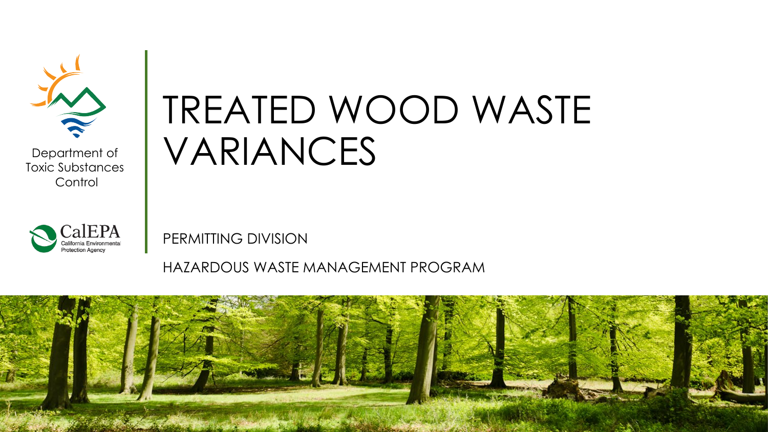

Department of Toxic Substances **Control** 



# TREATED WOOD WASTE VARIANCES

PERMITTING DIVISION

HAZARDOUS WASTE MANAGEMENT PROGRAM

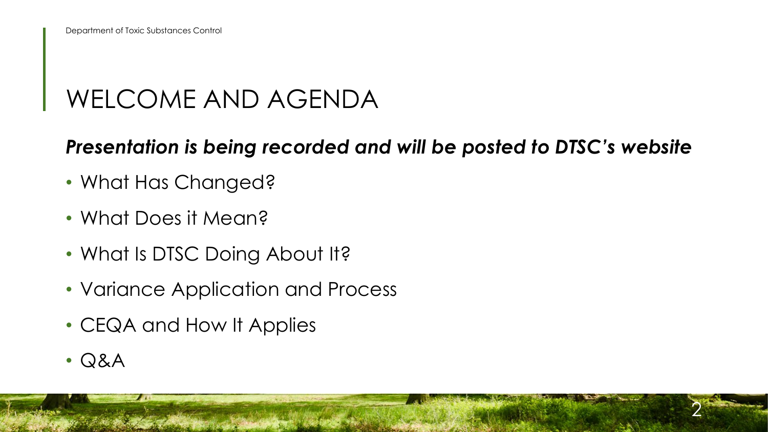#### WELCOME AND AGENDA

#### *Presentation is being recorded and will be posted to DTSC's website*

- What Has Changed?
- What Does it Mean?
- What Is DTSC Doing About It?
- Variance Application and Process
- CEQA and How It Applies
- Q&A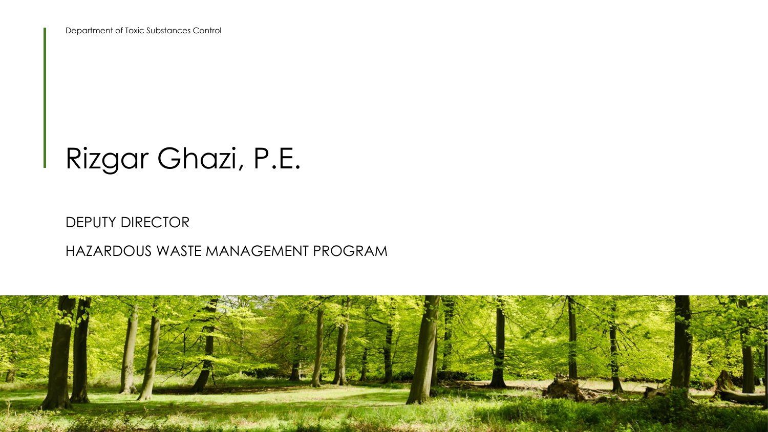Department of Toxic Substances Control

## Rizgar Ghazi, P.E.

#### DEPUTY DIRECTOR

#### HAZARDOUS WASTE MANAGEMENT PROGRAM

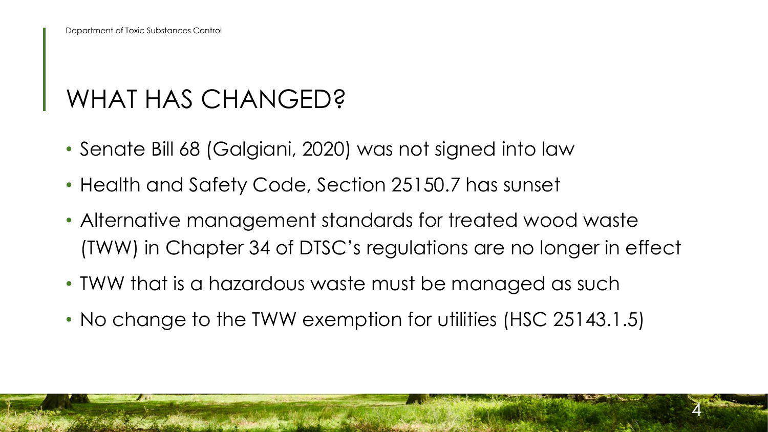#### WHAT HAS CHANGED?

- Senate Bill 68 (Galgiani, 2020) was not signed into law
- Health and Safety Code, Section 25150.7 has sunset
- • Alternative management standards for treated wood waste (TWW) in Chapter 34 of DTSC's regulations are no longer in effect

- TWW that is a hazardous waste must be managed as such
- No change to the TWW exemption for utilities (HSC 25143.1.5)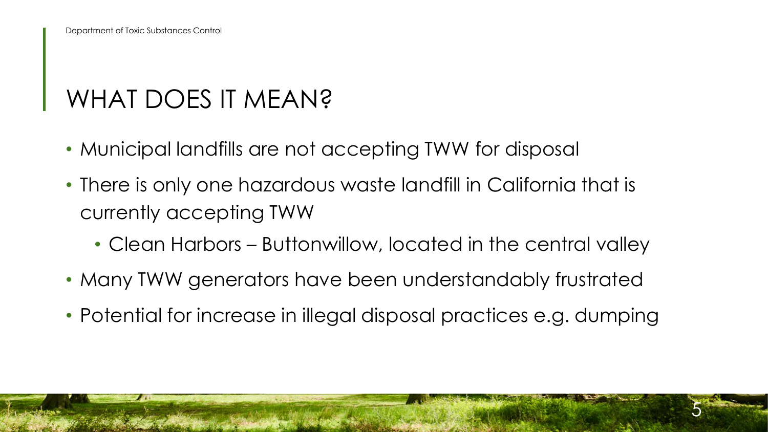### WHAT DOES IT MEAN?

- Municipal landfills are not accepting TWW for disposal
- • There is only one hazardous waste landfill in California that is currently accepting TWW
	- Clean Harbors Buttonwillow, located in the central valley
- Many TWW generators have been understandably frustrated
- Potential for increase in illegal disposal practices e.g. dumping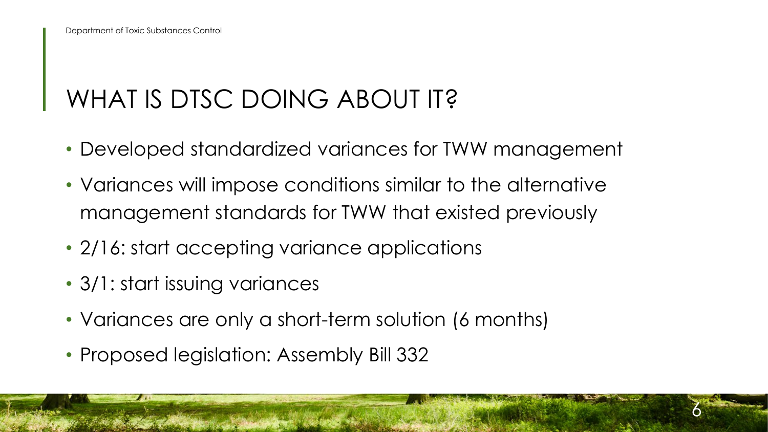### WHAT IS DTSC DOING ABOUT IT?

• Developed standardized variances for TWW management

- Variances will impose conditions similar to the alternative management standards for TWW that existed previously
- 2/16: start accepting variance applications
- 3/1: start issuing variances
- Variances are only a short-term solution (6 months)
- Proposed legislation: Assembly Bill 332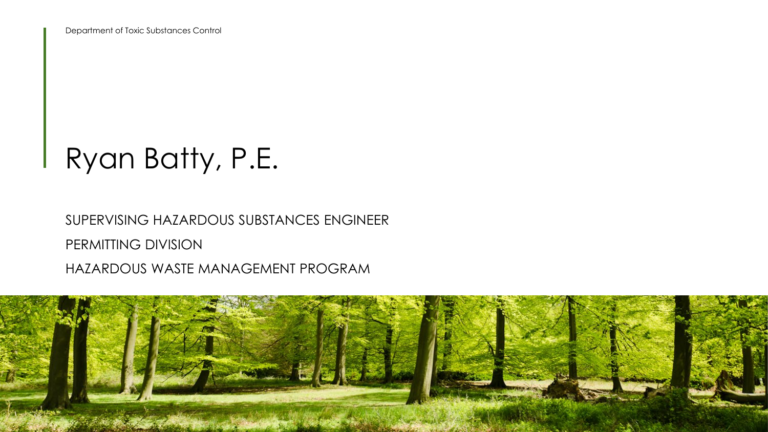# Ryan Batty, P.E.

SUPERVISING HAZARDOUS SUBSTANCES ENGINEER PERMITTING DIVISION HAZARDOUS WASTE MANAGEMENT PROGRAM

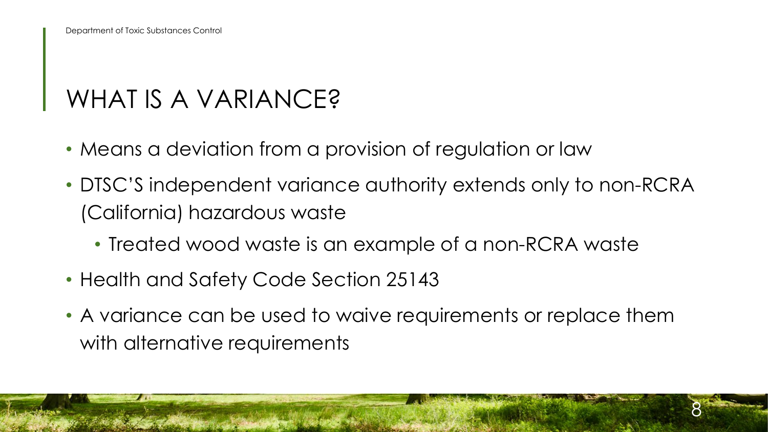#### WHAT IS A VARIANCE?

- Means a deviation from a provision of regulation or law
- • DTSC'S independent variance authority extends only to non-RCRA (California) hazardous waste
	- Treated wood waste is an example of a non-RCRA waste
- Health and Safety Code Section 25143
- • A variance can be used to waive requirements or replace them with alternative requirements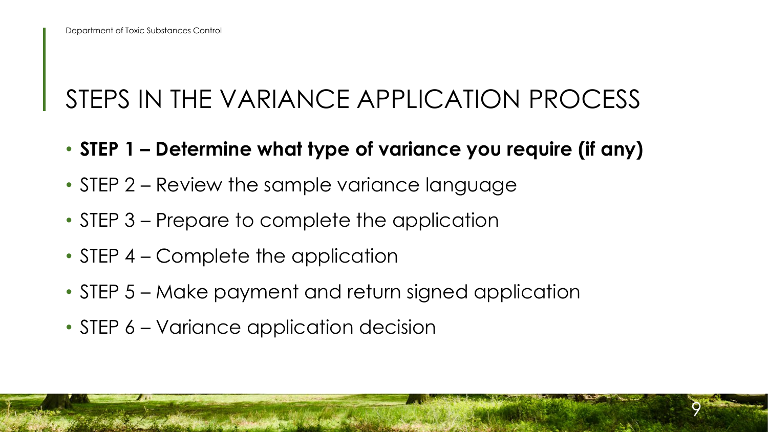## STEPS IN THE VARIANCE APPLICATION PROCESS

• **STEP 1 – Determine what type of variance you require (if any)** 

- STEP 2 Review the sample variance language
- STEP 3 Prepare to complete the application
- STEP 4 Complete the application
- STEP 5 Make payment and return signed application
- STEP 6 Variance application decision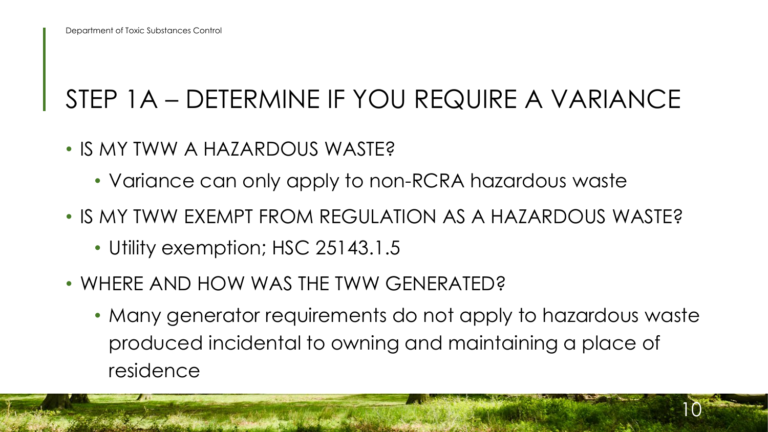## STEP 1A – DETERMINE IF YOU REQUIRE A VARIANCE

- IS MY TWW A HAZARDOUS WASTE?
	- Variance can only apply to non-RCRA hazardous waste
- IS MY TWW EXEMPT FROM REGULATION AS A HAZARDOUS WASTE?
	- Utility exemption; HSC 25143.1.5
- • WHERE AND HOW WAS THE TWW GENERATED?
	- • Many generator requirements do not apply to hazardous waste produced incidental to owning and maintaining a place of residence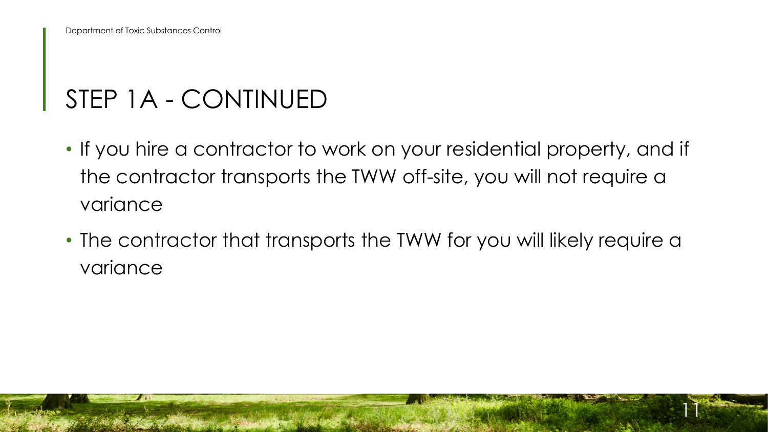#### STEP 1A - CONTINUED

- • If you hire a contractor to work on your residential property, and if the contractor transports the TWW off-site, you will not require a variance
- • The contractor that transports the TWW for you will likely require a variance

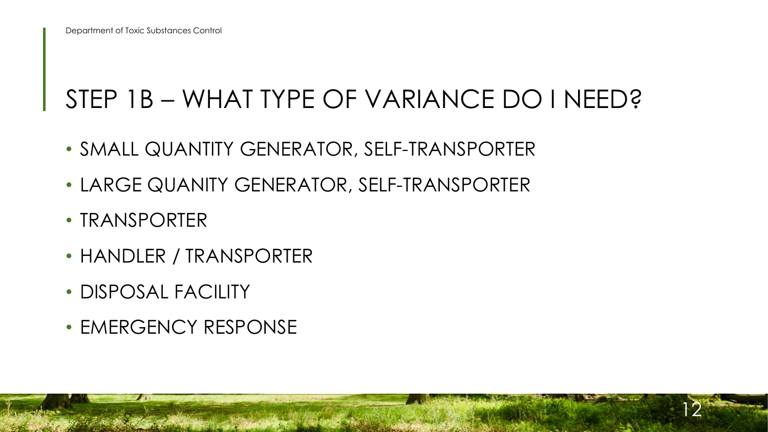#### STEP 1B – WHAT TYPE OF VARIANCE DO I NEED?

- SMALL QUANTITY GENERATOR, SELF-TRANSPORTER
- LARGE QUANITY GENERATOR, SELF-TRANSPORTER
- TRANSPORTER
- HANDLER / TRANSPORTER
- DISPOSAL FACILITY
- EMERGENCY RESPONSE

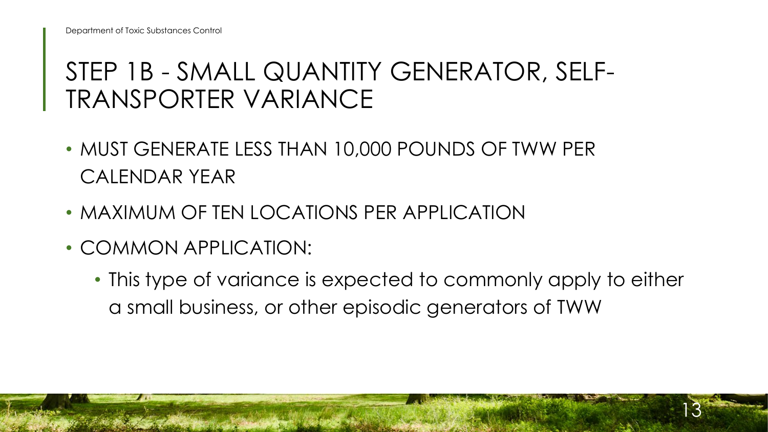#### STEP 1B - SMALL QUANTITY GENERATOR, SELF-TRANSPORTER VARIANCE

- • MUST GENERATE LESS THAN 10,000 POUNDS OF TWW PER CALENDAR YEAR
- MAXIMUM OF TEN LOCATIONS PER APPLICATION
- COMMON APPLICATION:
	- a small business, or other episodic generators of TWW • This type of variance is expected to commonly apply to either

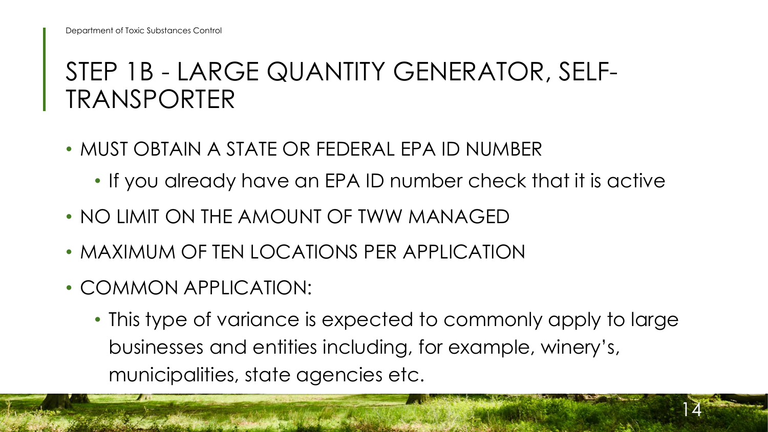#### STEP 1B - LARGE QUANTITY GENERATOR, SELF-TRANSPORTER

- • MUST OBTAIN A STATE OR FEDERAL EPA ID NUMBER
	- If you already have an EPA ID number check that it is active
- NO LIMIT ON THE AMOUNT OF TWW MANAGED
- MAXIMUM OF TEN LOCATIONS PER APPLICATION
- COMMON APPLICATION:
	- This type of variance is expected to commonly apply to large businesses and entities including, for example, winery's, municipalities, state agencies etc.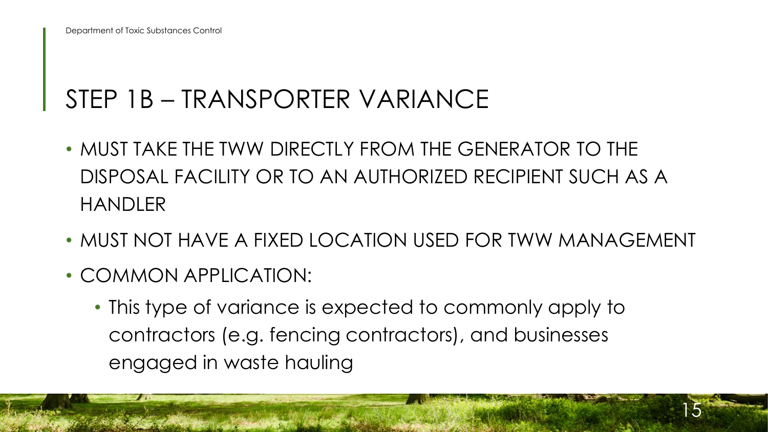#### STEP 1B – TRANSPORTER VARIANCE

- • MUST TAKE THE TWW DIRECTLY FROM THE GENERATOR TO THE DISPOSAL FACILITY OR TO AN AUTHORIZED RECIPIENT SUCH AS A HANDLER
- MUST NOT HAVE A FIXED LOCATION USED FOR TWW MANAGEMENT

- COMMON APPLICATION:
	- This type of variance is expected to commonly apply to contractors (e.g. fencing contractors), and businesses engaged in waste hauling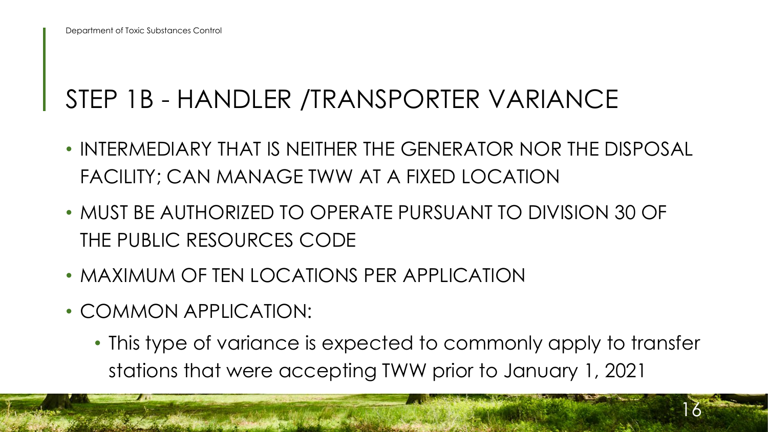## STEP 1B - HANDLER /TRANSPORTER VARIANCE

- FACILITY; CAN MANAGE TWW AT A FIXED LOCATION • INTERMEDIARY THAT IS NEITHER THE GENERATOR NOR THE DISPOSAL
- • MUST BE AUTHORIZED TO OPERATE PURSUANT TO DIVISION 30 OF THE PUBLIC RESOURCES CODE
- MAXIMUM OF TEN LOCATIONS PER APPLICATION
- COMMON APPLICATION:
	- stations that were accepting TWW prior to January 1, 2021 • This type of variance is expected to commonly apply to transfer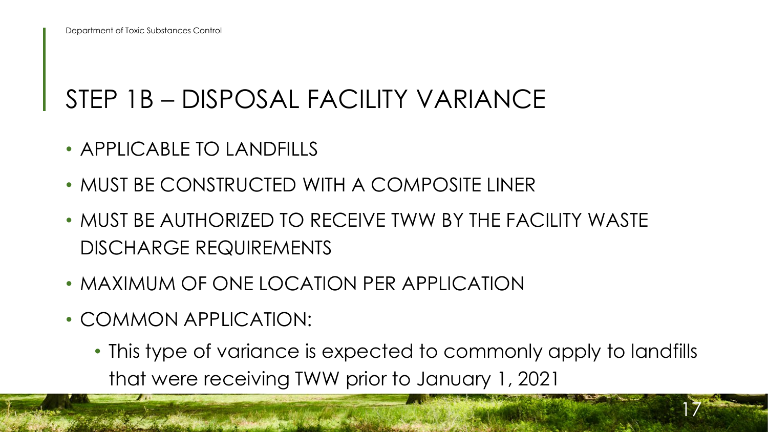#### STEP 1B – DISPOSAL FACILITY VARIANCE

- APPLICABLE TO LANDFILLS
- MUST BE CONSTRUCTED WITH A COMPOSITE LINER
- • MUST BE AUTHORIZED TO RECEIVE TWW BY THE FACILITY WASTE DISCHARGE REQUIREMENTS
- MAXIMUM OF ONE LOCATION PER APPLICATION
- COMMON APPLICATION:
	- that were receiving TWW prior to January 1, 2021 • This type of variance is expected to commonly apply to landfills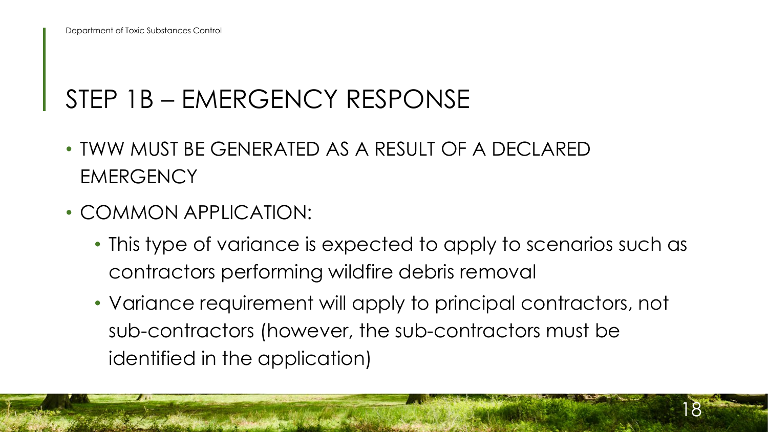## STEP 1B – EMERGENCY RESPONSE

- TWW MUST BE GENERATED AS A RESULT OF A DECLARED **EMERGENCY**
- COMMON APPLICATION:
	- • This type of variance is expected to apply to scenarios such as contractors performing wildfire debris removal
	- Variance requirement will apply to principal contractors, not sub-contractors (however, the sub-contractors must be identified in the application)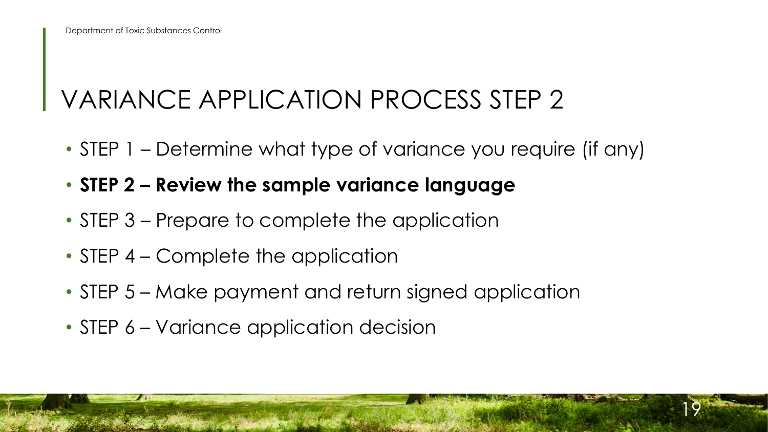## VARIANCE APPLICATION PROCESS STEP 2

- STEP 1 Determine what type of variance you require (if any)
- **STEP 2 Review the sample variance language**
- STEP 3 Prepare to complete the application
- STEP 4 Complete the application
- STEP 5 Make payment and return signed application
- STEP 6 Variance application decision

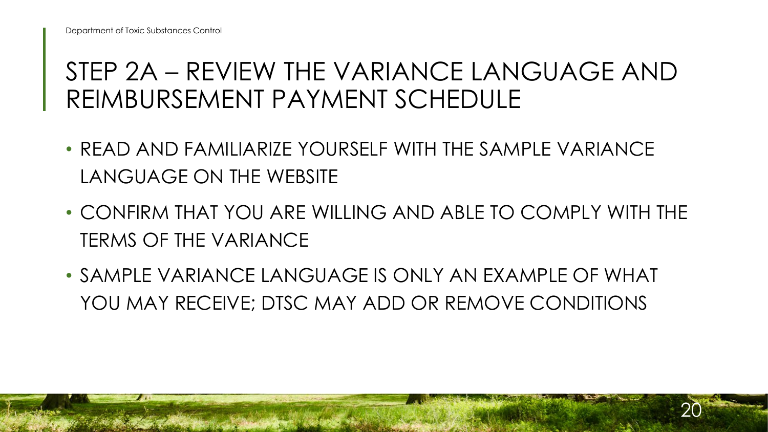#### STEP 2A – REVIEW THE VARIANCE LANGUAGE AND REIMBURSEMENT PAYMENT SCHEDULE

- READ AND FAMILIARIZE YOURSELF WITH THE SAMPLE VARIANCE LANGUAGE ON THE WEBSITE
- • CONFIRM THAT YOU ARE WILLING AND ABLE TO COMPLY WITH THE TERMS OF THE VARIANCE
- • SAMPLE VARIANCE LANGUAGE IS ONLY AN EXAMPLE OF WHAT YOU MAY RECEIVE; DTSC MAY ADD OR REMOVE CONDITIONS

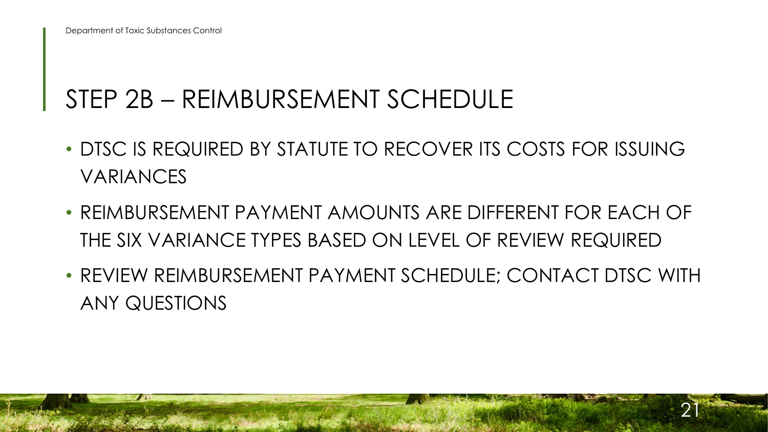#### STEP 2B – REIMBURSEMENT SCHEDULE

- • DTSC IS REQUIRED BY STATUTE TO RECOVER ITS COSTS FOR ISSUING VARIANCES
- • REIMBURSEMENT PAYMENT AMOUNTS ARE DIFFERENT FOR EACH OF THE SIX VARIANCE TYPES BASED ON LEVEL OF REVIEW REQUIRED
- REVIEW REIMBURSEMENT PAYMENT SCHEDULE; CONTACT DTSC WITH ANY QUESTIONS

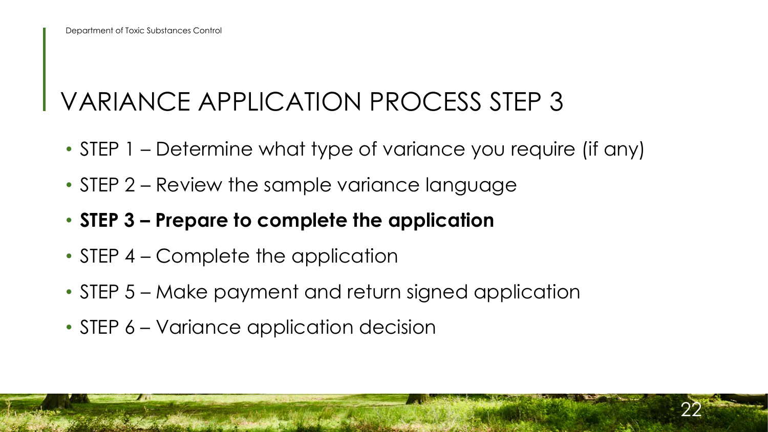### VARIANCE APPLICATION PROCESS STEP 3

• STEP 1 – Determine what type of variance you require (if any)

- STEP 2 Review the sample variance language
- **STEP 3 Prepare to complete the application**
- STEP 4 Complete the application
- STEP 5 Make payment and return signed application
- STEP 6 Variance application decision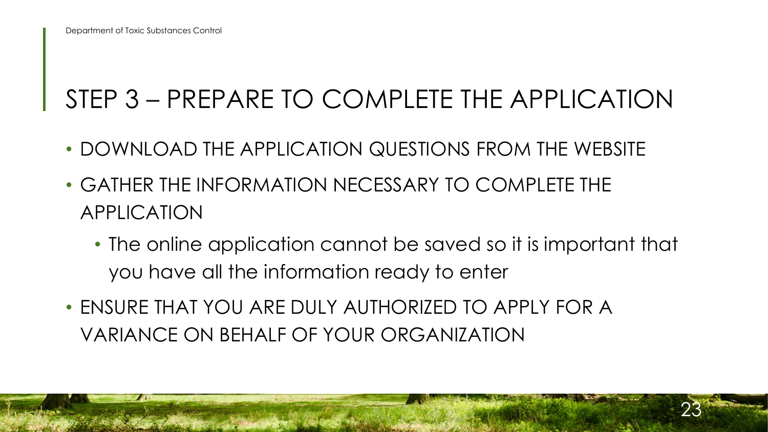## STEP 3 – PREPARE TO COMPLETE THE APPLICATION

- DOWNLOAD THE APPLICATION QUESTIONS FROM THE WEBSITE
- GATHER THE INFORMATION NECESSARY TO COMPLETE THE APPLICATION
	- • The online application cannot be saved so it is important that you have all the information ready to enter

23

 • ENSURE THAT YOU ARE DULY AUTHORIZED TO APPLY FOR A VARIANCE ON BEHALF OF YOUR ORGANIZATION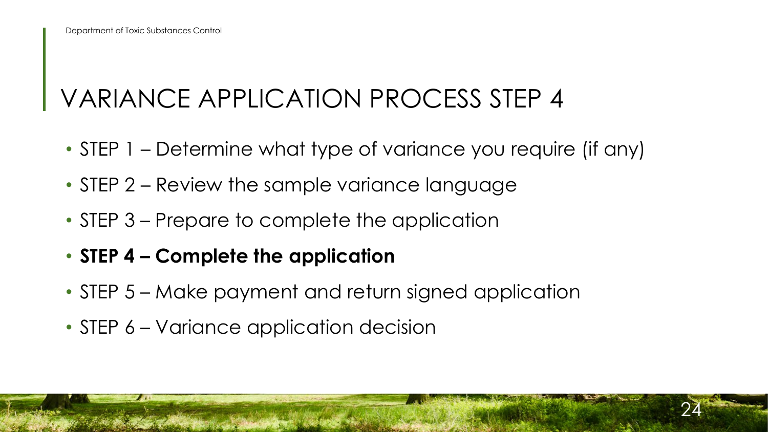### VARIANCE APPLICATION PROCESS STEP 4

- STEP 1 Determine what type of variance you require (if any)
- STEP 2 Review the sample variance language
- STEP 3 Prepare to complete the application
- **STEP 4 Complete the application**
- STEP 5 Make payment and return signed application
- STEP 6 Variance application decision

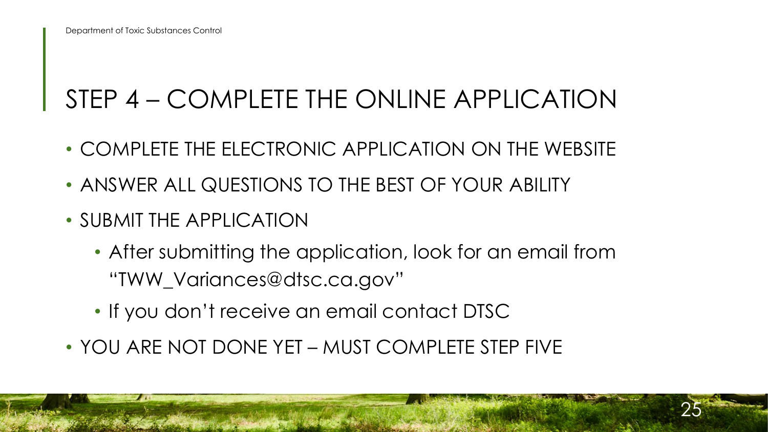## STEP 4 – COMPLETE THE ONLINE APPLICATION

- COMPLETE THE ELECTRONIC APPLICATION ON THE WEBSITE
- ANSWER ALL QUESTIONS TO THE BEST OF YOUR ABILITY
- SUBMIT THE APPLICATION
	- After submitting the application, look for an email from ["TWW\\_Variances@dtsc.ca.gov"](mailto:TWW_Variances@dtsc.ca.gov)
	- If you don't receive an email contact DTSC
- YOU ARE NOT DONE YET MUST COMPLETE STEP FIVE

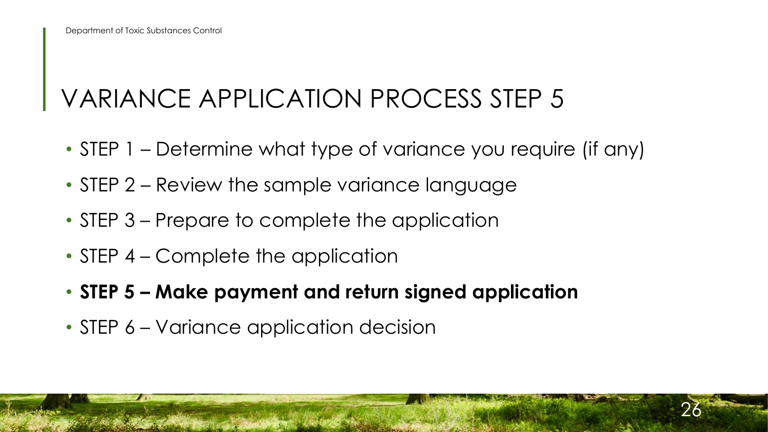### VARIANCE APPLICATION PROCESS STEP 5

- STEP 1 Determine what type of variance you require (if any)
- STEP 2 Review the sample variance language
- STEP 3 Prepare to complete the application
- STEP 4 Complete the application
- **STEP 5 Make payment and return signed application**
- STEP 6 Variance application decision

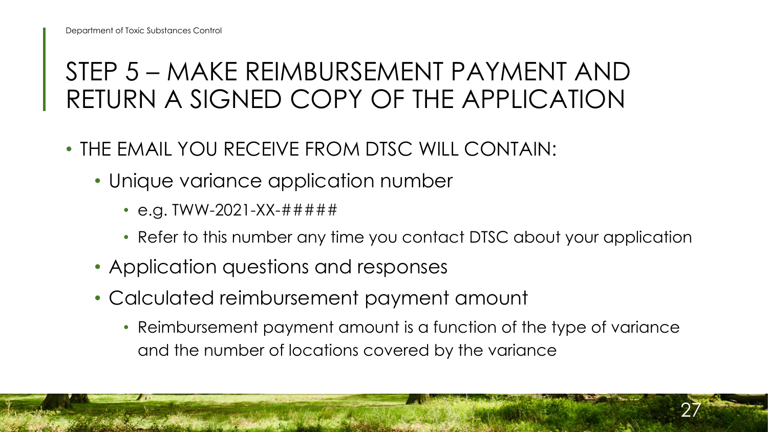#### RETURN A SIGNED COPY OF THE APPLICATION STEP 5 – MAKE REIMBURSEMENT PAYMENT AND

- • THE EMAIL YOU RECEIVE FROM DTSC WILL CONTAIN:
	- Unique variance application number
		- e.g. TWW-2021-XX-######
		- Refer to this number any time you contact DTSC about your application
	- Application questions and responses
	- • Calculated reimbursement payment amount
		- • Reimbursement payment amount is a function of the type of variance and the number of locations covered by the variance

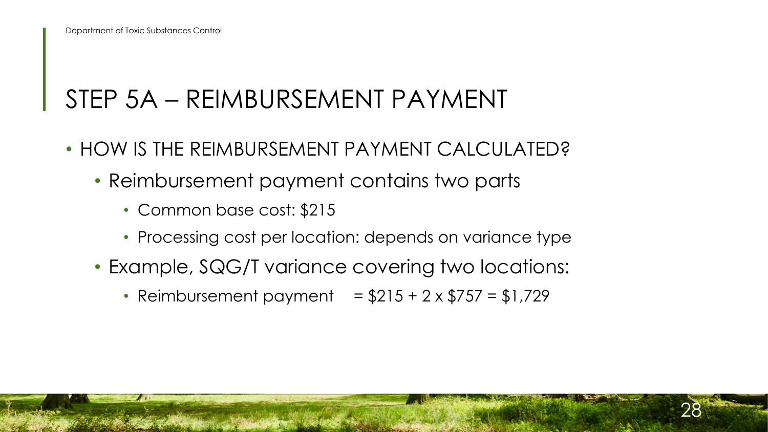#### STEP 5A – REIMBURSEMENT PAYMENT

- HOW IS THE REIMBURSEMENT PAYMENT CALCULATED?
	- • Reimbursement payment contains two parts
		- Common base cost: \$215
		- Processing cost per location: depends on variance type
	- Example, SQG/T variance covering two locations:
		- Reimbursement payment =  $$215 + 2 \times $757 = $1,729$

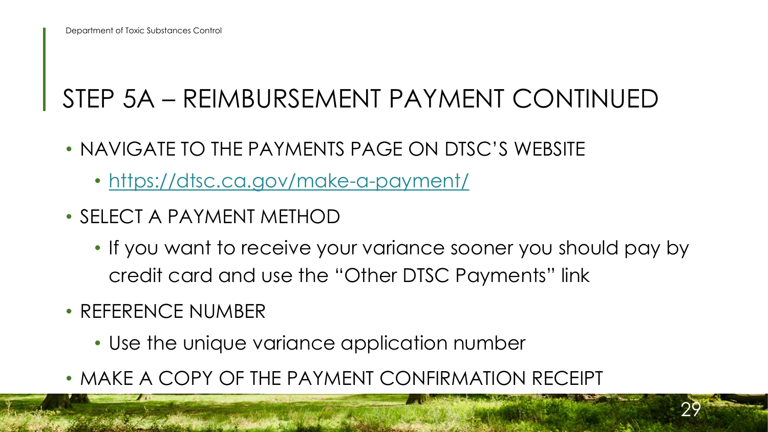### STEP 5A – REIMBURSEMENT PAYMENT CONTINUED

- NAVIGATE TO THE PAYMENTS PAGE ON DTSC'S WEBSITE
	- https://dtsc.ca.gov/make-a-payment/
- SELECT A PAYMENT METHOD
	- • If you want to receive your variance sooner you should pay by credit card and use the "Other DTSC Payments" link

- REFERENCE NUMBER
	- Use the unique variance application number
- MAKE A COPY OF THE PAYMENT CONFIRMATION RECEIPT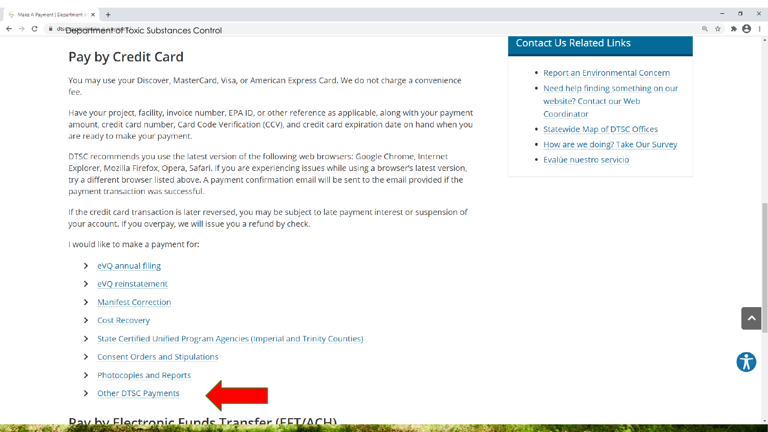#### **Pay by Credit Card**

You may use your Discover, MasterCard, Visa, or American Express Card. We do not charge a convenience fee.

Have your project, facility, invoice number, EPA ID, or other reference as applicable, along with your payment amount, credit card number, Card Code Verification (CCV), and credit card expiration date on hand when you are ready to make your payment.

DTSC recommends you use the latest version of the following web browsers: Google Chrome, Internet Explorer, Mozilla Firefox, Opera, Safari. If you are experiencing issues while using a browser's latest version, try a different browser listed above. A payment confirmation email will be sent to the email provided if the payment transaction was successful.

If the credit card transaction is later reversed, you may be subject to late payment interest or suspension of your account. If you overpay, we will issue you a refund by check.

**CONSTRUCTION OF BUILDING** 

I would like to make a payment for:

- $\triangleright$  eVQ annual filing
- > eVQ reinstatement
- > Manifest Correction
- > Cost Recovery
- > State Certified Unified Program Agencies (Imperial and Trinity Counties)
- > Consent Orders and Stipulations
- > Photocopies and Reports
- > Other DTSC Payments

**College Street** 

#### Pay by Flectronic Funds Transfer (FFT/ACH)

#### **Contact Us Related Links**

- Report an Environmental Concern
- Need help finding something on our website? Contact our Web Coordinator
- Statewide Map of DTSC Offices
- How are we doing? Take Our Survey
- Evalúe nuestro servicio

 $\Box$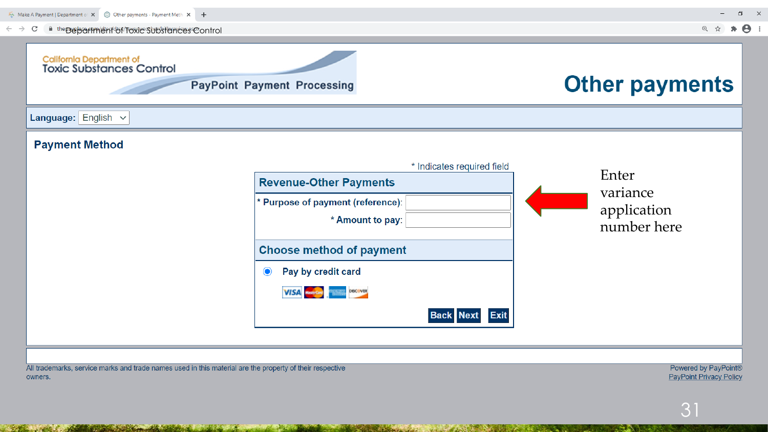

The control of the state of the control of the state of the state of the state of the state of the state of the

**RESPONSE AN ARRANGEMENT CONTROLLED FOR A** 

**SHOPLAN AND COMPANY** 

owners.

 $\mathcal{L} = \mathcal{L} \mathcal{L}$ 

Powered by PayPoint® **PayPoint Privacy Policy**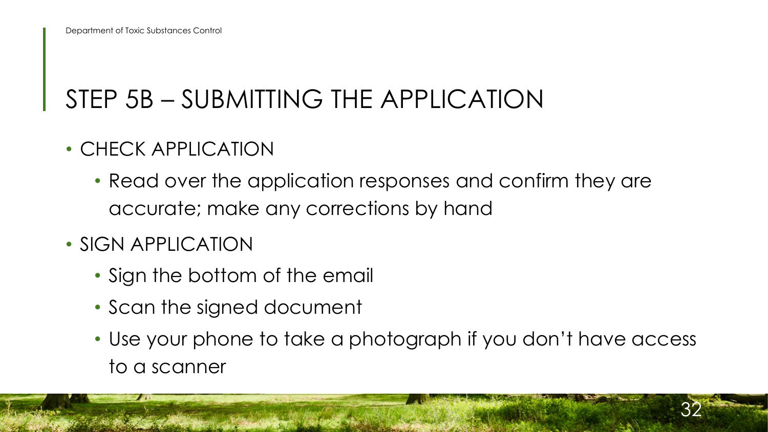## STEP 5B – SUBMITTING THE APPLICATION

- CHECK APPLICATION
	- • Read over the application responses and confirm they are accurate; make any corrections by hand
- SIGN APPLICATION
	- Sign the bottom of the email
	- Scan the signed document
	- • Use your phone to take a photograph if you don't have access to a scanner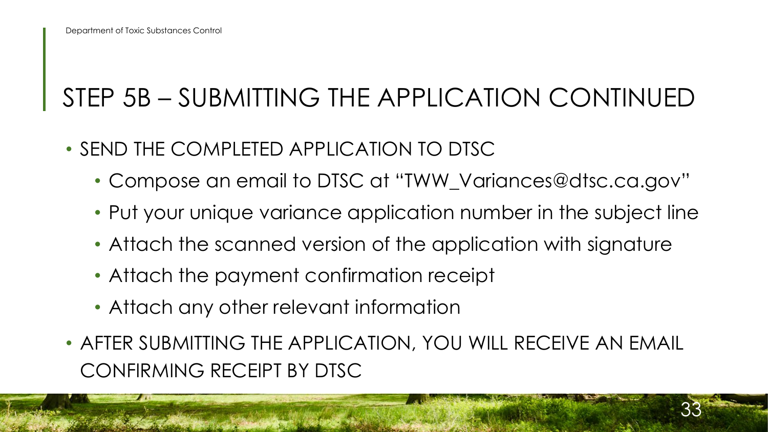### STEP 5B – SUBMITTING THE APPLICATION CONTINUED

- SEND THE COMPLETED APPLICATION TO DTSC
	- Compose an email to DTSC at "[TWW\\_Variances@dtsc.ca.gov](mailto:TWW_Variances@dtsc.ca.gov)"
	- Put your unique variance application number in the subject line
	- Attach the scanned version of the application with signature
	- Attach the payment confirmation receipt
	- Attach any other relevant information
- • AFTER SUBMITTING THE APPLICATION, YOU WILL RECEIVE AN EMAIL CONFIRMING RECEIPT BY DTSC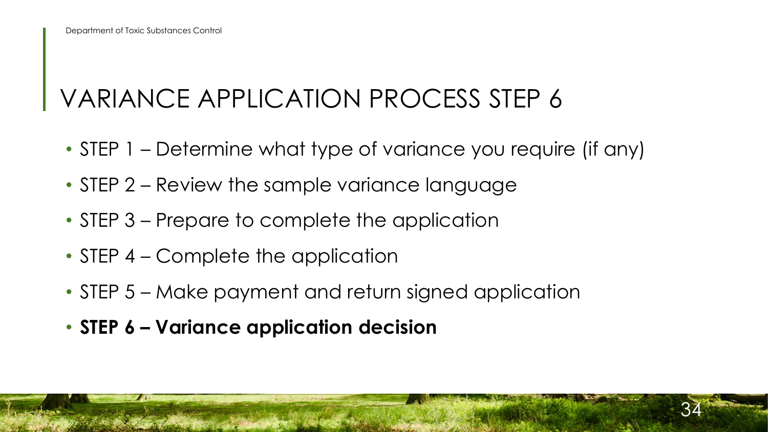### VARIANCE APPLICATION PROCESS STEP 6

- STEP 1 Determine what type of variance you require (if any)
- STEP 2 Review the sample variance language
- STEP 3 Prepare to complete the application
- STEP 4 Complete the application
- STEP 5 Make payment and return signed application
- **STEP 6 Variance application decision**

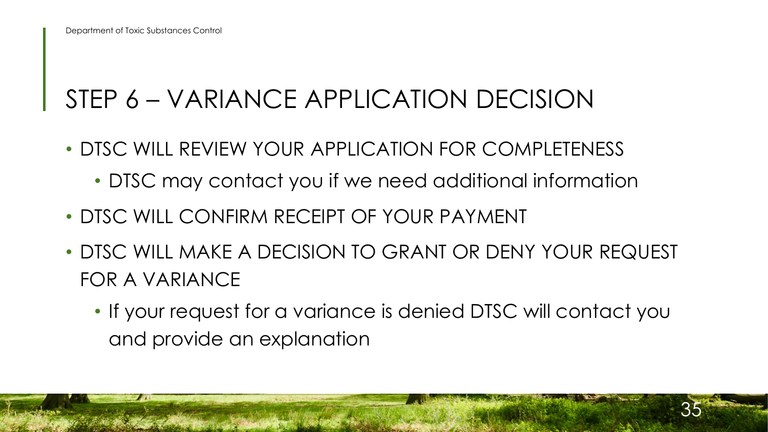## STEP 6 – VARIANCE APPLICATION DECISION

- • DTSC WILL REVIEW YOUR APPLICATION FOR COMPLETENESS
	- DTSC may contact you if we need additional information
- DTSC WILL CONFIRM RECEIPT OF YOUR PAYMENT
- • DTSC WILL MAKE A DECISION TO GRANT OR DENY YOUR REQUEST FOR A VARIANCE
	- • If your request for a variance is denied DTSC will contact you and provide an explanation

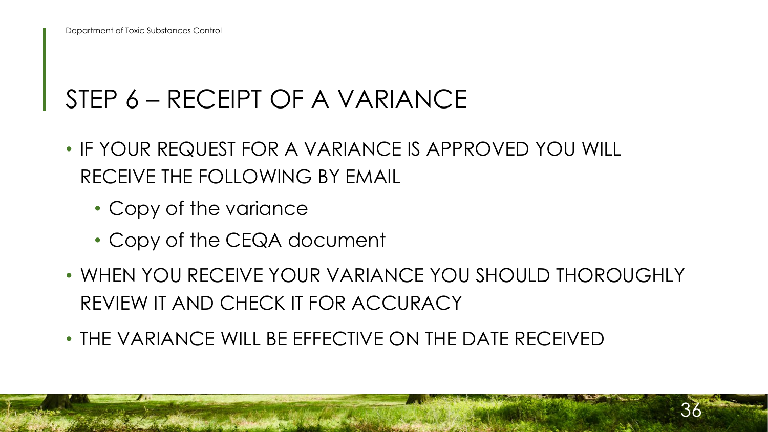#### STEP 6 – RECEIPT OF A VARIANCE

- • IF YOUR REQUEST FOR A VARIANCE IS APPROVED YOU WILL RECEIVE THE FOLLOWING BY EMAIL
	- Copy of the variance
	- Copy of the CEQA document
- • WHEN YOU RECEIVE YOUR VARIANCE YOU SHOULD THOROUGHLY REVIEW IT AND CHECK IT FOR ACCURACY
- THE VARIANCE WILL BE EFFECTIVE ON THE DATE RECEIVED

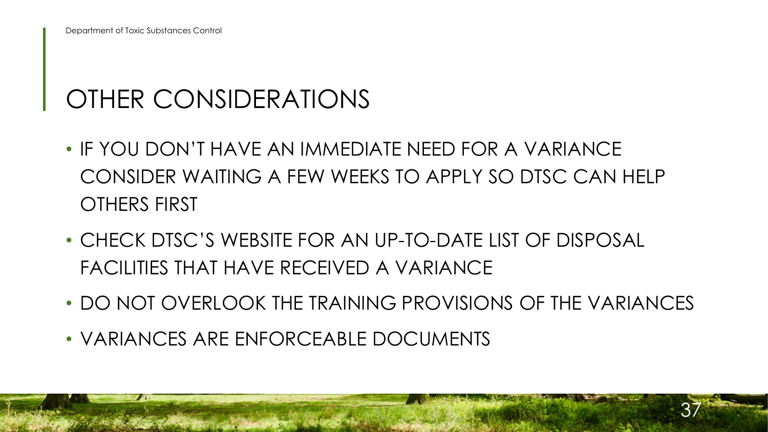## OTHER CONSIDERATIONS

- • IF YOU DON'T HAVE AN IMMEDIATE NEED FOR A VARIANCE CONSIDER WAITING A FEW WEEKS TO APPLY SO DTSC CAN HELP OTHERS FIRST
- FACILITIES THAT HAVE RECEIVED A VARIANCE • CHECK DTSC'S WEBSITE FOR AN UP-TO-DATE LIST OF DISPOSAL
- DO NOT OVERLOOK THE TRAINING PROVISIONS OF THE VARIANCES

37

• VARIANCES ARE ENFORCEABLE DOCUMENTS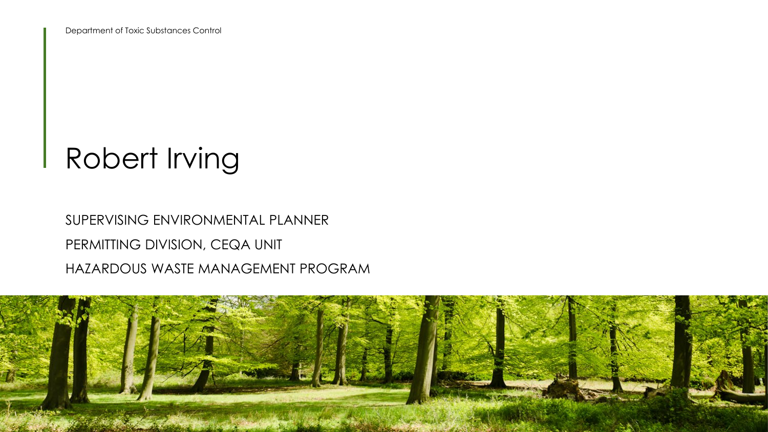# Robert Irving

#### PERMITTING DIVISION, CEQA UNIT SUPERVISING ENVIRONMENTAL PLANNER HAZARDOUS WASTE MANAGEMENT PROGRAM

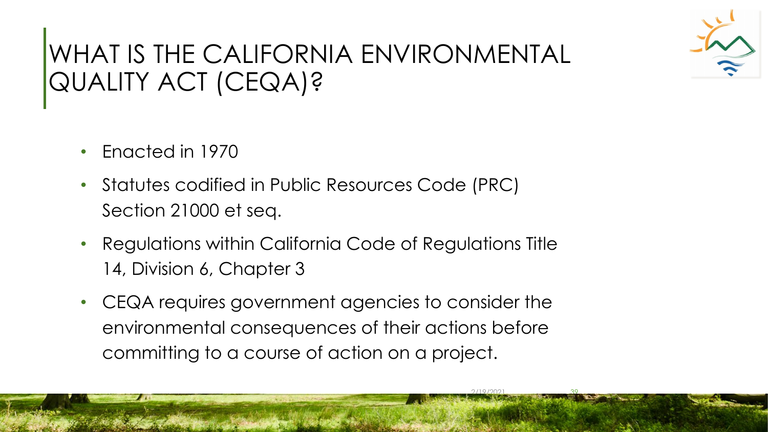

#### WHAT IS THE CALIFORNIA ENVIRONMENTAL QUALITY ACT (CEQA)?

- Enacted in 1970
- Statutes codified in Public Resources Code (PRC) Section 21000 et seq.
- 14, Division 6, Chapter 3 • Regulations within California Code of Regulations Title
- committing to a course of action on a project. 2/19/2021 39 • CEQA requires government agencies to consider the environmental consequences of their actions before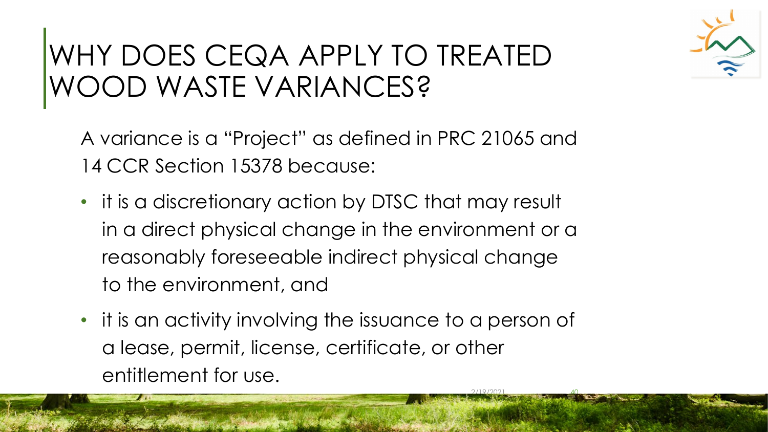## WHY DOES CEQA APPLY TO TREATED WOOD WASTE VARIANCES?

 A variance is a "Project" as defined in PRC 21065 and 14 CCR Section 15378 because:

- • it is a discretionary action by DTSC that may result in a direct physical change in the environment or a reasonably foreseeable indirect physical change to the environment, and
- • it is an activity involving the issuance to a person of a lease, permit, license, certificate, or other entitlement for use.

 $2/19/2021$   $40$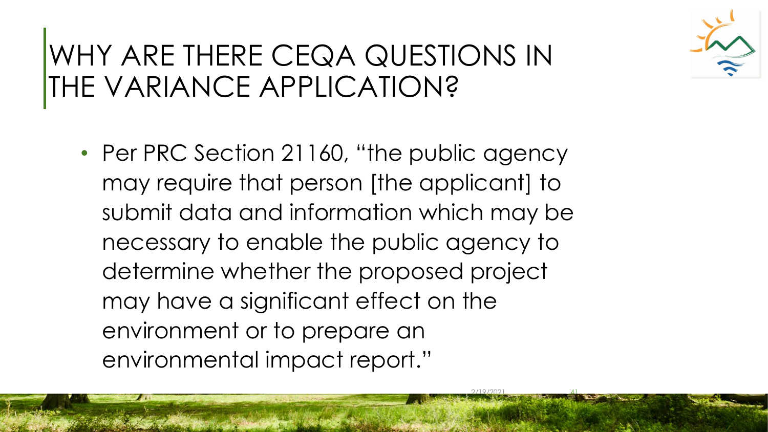## WHY ARE THERE CEQA QUESTIONS IN THE VARIANCE APPLICATION?

• Per PRC Section 21160, "the public agency may require that person [the applicant] to submit data and information which may be necessary to enable the public agency to determine whether the proposed project may have a significant effect on the environment or to prepare an environmental impact report."

 $2/19/2021$   $41$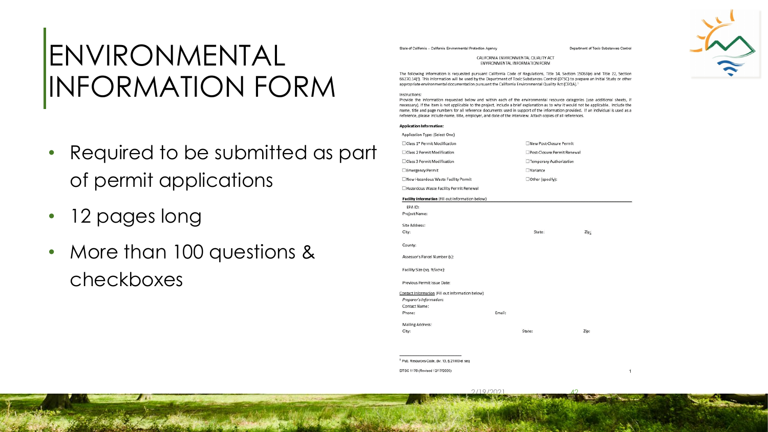## ENVIRONMENTAL INFORMATION FORM

- • Required to be submitted as part of permit applications
- 12 pages long
- • More than 100 questions & checkboxes

State of California - California Environmental Protection Agency entry the state of California - California - California - California - California - California - California - California - California - California - Californ

CALIFORNIA ENVIRONMENTAL QUAUTY ACT ENVIRONMENTAL INFORMATION FORM

The following information is requested pursuant California Code of Regulations, Title 14, Section 15063(e) and Title 22, Section 66270.14(f). This information will be used by the Department of Toxic Substances Control (DTSC) to prepare an Initial Study or other appropriate environmental documentation pursuant the California Environmental Quality Act (CEQA).

#### lnstructloos:

Provide the information requested below and within each of the environmental resource categories (use additional sheets, if necessary). If the item is not applicable to the project, include a brief explanation as to why it would not be applicable. Include the name, title and page numbers for all reference documents used in support of the information provided. If an individual is used as a reference, please include name, title, employer, and date of the interview. Attach copies of all references.

| Application Type: (Select One)<br>□Class 1* Permit Modification<br>New Post-Closure Permit<br>□ Class 2 Permit Modification<br>Post-Closure Permit Renewal<br>Class 3 Permit Modification<br>Temporary Authorization<br><b>UVariance</b><br>Emergency Permit<br>New Hazardous Waste Facility Permit<br>□Other (specify):<br>Hazardous Waste Facility Permit Renewal<br>Facility Information (Fill out information below)<br>EPA ID:<br>Project Name:<br>Site Address:<br>City:<br>State:<br>Zip:<br>County:<br>Assessor's Parcel Number (s):<br>Facility Size (sq. ft/acre):<br>Previous Permit Issue Date:<br>Contact Information (Fill out information below)<br>Preparer's Information:<br>Contact Name:<br>Email:<br>Phone:<br>Mailing Address:<br>City:<br>State:<br>Zip: | <b>Application Information:</b> |  |  |
|--------------------------------------------------------------------------------------------------------------------------------------------------------------------------------------------------------------------------------------------------------------------------------------------------------------------------------------------------------------------------------------------------------------------------------------------------------------------------------------------------------------------------------------------------------------------------------------------------------------------------------------------------------------------------------------------------------------------------------------------------------------------------------|---------------------------------|--|--|
|                                                                                                                                                                                                                                                                                                                                                                                                                                                                                                                                                                                                                                                                                                                                                                                |                                 |  |  |
|                                                                                                                                                                                                                                                                                                                                                                                                                                                                                                                                                                                                                                                                                                                                                                                |                                 |  |  |
|                                                                                                                                                                                                                                                                                                                                                                                                                                                                                                                                                                                                                                                                                                                                                                                |                                 |  |  |
|                                                                                                                                                                                                                                                                                                                                                                                                                                                                                                                                                                                                                                                                                                                                                                                |                                 |  |  |
|                                                                                                                                                                                                                                                                                                                                                                                                                                                                                                                                                                                                                                                                                                                                                                                |                                 |  |  |
|                                                                                                                                                                                                                                                                                                                                                                                                                                                                                                                                                                                                                                                                                                                                                                                |                                 |  |  |
|                                                                                                                                                                                                                                                                                                                                                                                                                                                                                                                                                                                                                                                                                                                                                                                |                                 |  |  |
|                                                                                                                                                                                                                                                                                                                                                                                                                                                                                                                                                                                                                                                                                                                                                                                |                                 |  |  |
|                                                                                                                                                                                                                                                                                                                                                                                                                                                                                                                                                                                                                                                                                                                                                                                |                                 |  |  |
|                                                                                                                                                                                                                                                                                                                                                                                                                                                                                                                                                                                                                                                                                                                                                                                |                                 |  |  |
|                                                                                                                                                                                                                                                                                                                                                                                                                                                                                                                                                                                                                                                                                                                                                                                |                                 |  |  |
|                                                                                                                                                                                                                                                                                                                                                                                                                                                                                                                                                                                                                                                                                                                                                                                |                                 |  |  |
|                                                                                                                                                                                                                                                                                                                                                                                                                                                                                                                                                                                                                                                                                                                                                                                |                                 |  |  |
|                                                                                                                                                                                                                                                                                                                                                                                                                                                                                                                                                                                                                                                                                                                                                                                |                                 |  |  |
|                                                                                                                                                                                                                                                                                                                                                                                                                                                                                                                                                                                                                                                                                                                                                                                |                                 |  |  |
|                                                                                                                                                                                                                                                                                                                                                                                                                                                                                                                                                                                                                                                                                                                                                                                |                                 |  |  |
|                                                                                                                                                                                                                                                                                                                                                                                                                                                                                                                                                                                                                                                                                                                                                                                |                                 |  |  |
|                                                                                                                                                                                                                                                                                                                                                                                                                                                                                                                                                                                                                                                                                                                                                                                |                                 |  |  |
|                                                                                                                                                                                                                                                                                                                                                                                                                                                                                                                                                                                                                                                                                                                                                                                |                                 |  |  |
|                                                                                                                                                                                                                                                                                                                                                                                                                                                                                                                                                                                                                                                                                                                                                                                |                                 |  |  |
|                                                                                                                                                                                                                                                                                                                                                                                                                                                                                                                                                                                                                                                                                                                                                                                |                                 |  |  |
|                                                                                                                                                                                                                                                                                                                                                                                                                                                                                                                                                                                                                                                                                                                                                                                |                                 |  |  |
|                                                                                                                                                                                                                                                                                                                                                                                                                                                                                                                                                                                                                                                                                                                                                                                |                                 |  |  |

 $1$  Pub. Resources Code, div. 13, § 21000 et seq

DTSC 1176 (Revised 12/17/2020)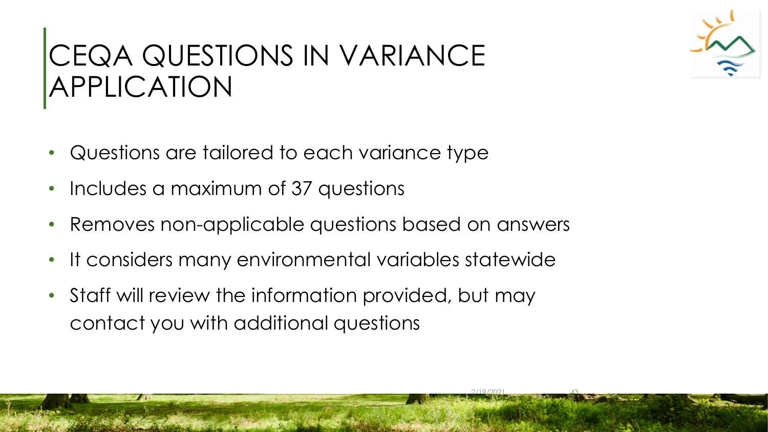# CEQA QUESTIONS IN VARIANCE APPLICATION

- Questions are tailored to each variance type
- Includes a maximum of 37 questions
- Removes non-applicable questions based on answers
- It considers many environmental variables statewide

2/19/2021 43

 • Staff will review the information provided, but may contact you with additional questions